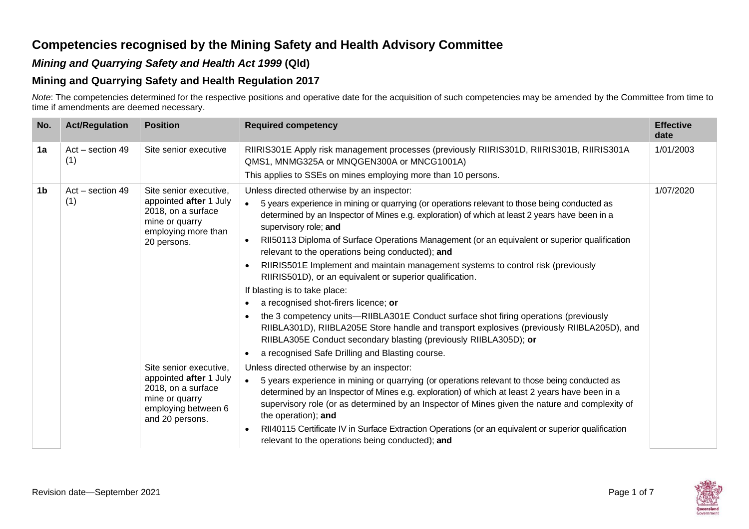## **Competencies recognised by the Mining Safety and Health Advisory Committee**

## *Mining and Quarrying Safety and Health Act 1999* **(Qld)**

## **Mining and Quarrying Safety and Health Regulation 2017**

*Note*: The competencies determined for the respective positions and operative date for the acquisition of such competencies may be amended by the Committee from time to time if amendments are deemed necessary.

| No. | <b>Act/Regulation</b>   | <b>Position</b>                                                                                                                    | <b>Required competency</b>                                                                                                                                                                                                                                                                                                                                                                                                                                                                                                                                                                                                                                                                                                                                                                                                                                                                                                                                                                                                                       | <b>Effective</b><br>date |
|-----|-------------------------|------------------------------------------------------------------------------------------------------------------------------------|--------------------------------------------------------------------------------------------------------------------------------------------------------------------------------------------------------------------------------------------------------------------------------------------------------------------------------------------------------------------------------------------------------------------------------------------------------------------------------------------------------------------------------------------------------------------------------------------------------------------------------------------------------------------------------------------------------------------------------------------------------------------------------------------------------------------------------------------------------------------------------------------------------------------------------------------------------------------------------------------------------------------------------------------------|--------------------------|
| 1a  | Act - section 49<br>(1) | Site senior executive                                                                                                              | RIIRIS301E Apply risk management processes (previously RIIRIS301D, RIIRIS301B, RIIRIS301A<br>QMS1, MNMG325A or MNQGEN300A or MNCG1001A)<br>This applies to SSEs on mines employing more than 10 persons.                                                                                                                                                                                                                                                                                                                                                                                                                                                                                                                                                                                                                                                                                                                                                                                                                                         | 1/01/2003                |
| 1b  | Act - section 49<br>(1) | Site senior executive,<br>appointed after 1 July<br>2018, on a surface<br>mine or quarry<br>employing more than<br>20 persons.     | Unless directed otherwise by an inspector:<br>5 years experience in mining or quarrying (or operations relevant to those being conducted as<br>$\bullet$<br>determined by an Inspector of Mines e.g. exploration) of which at least 2 years have been in a<br>supervisory role; and<br>RII50113 Diploma of Surface Operations Management (or an equivalent or superior qualification<br>$\bullet$<br>relevant to the operations being conducted); and<br>RIIRIS501E Implement and maintain management systems to control risk (previously<br>$\bullet$<br>RIIRIS501D), or an equivalent or superior qualification.<br>If blasting is to take place:<br>a recognised shot-firers licence; or<br>$\bullet$<br>the 3 competency units—RIIBLA301E Conduct surface shot firing operations (previously<br>$\bullet$<br>RIIBLA301D), RIIBLA205E Store handle and transport explosives (previously RIIBLA205D), and<br>RIIBLA305E Conduct secondary blasting (previously RIIBLA305D); or<br>a recognised Safe Drilling and Blasting course.<br>$\bullet$ | 1/07/2020                |
|     |                         | Site senior executive,<br>appointed after 1 July<br>2018, on a surface<br>mine or quarry<br>employing between 6<br>and 20 persons. | Unless directed otherwise by an inspector:<br>5 years experience in mining or quarrying (or operations relevant to those being conducted as<br>$\bullet$<br>determined by an Inspector of Mines e.g. exploration) of which at least 2 years have been in a<br>supervisory role (or as determined by an Inspector of Mines given the nature and complexity of<br>the operation); and<br>RII40115 Certificate IV in Surface Extraction Operations (or an equivalent or superior qualification<br>$\bullet$<br>relevant to the operations being conducted); and                                                                                                                                                                                                                                                                                                                                                                                                                                                                                     |                          |

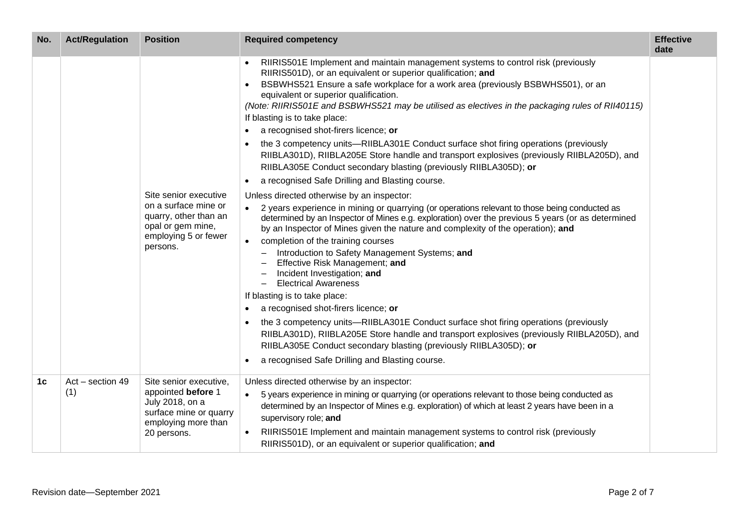| No. | <b>Act/Regulation</b>     | <b>Position</b>                                                                                                                 | <b>Required competency</b>                                                                                                                                                                                                                                                                                                                                                                                                                                                                                                                                                                                                                                                                                                                                                                                                                                                                                                                                                                                                                                                                                                                                                                                                                                                                                                                                                                                                                                                                                                                                                                                                                                                                                                                                                                              | <b>Effective</b><br>date |
|-----|---------------------------|---------------------------------------------------------------------------------------------------------------------------------|---------------------------------------------------------------------------------------------------------------------------------------------------------------------------------------------------------------------------------------------------------------------------------------------------------------------------------------------------------------------------------------------------------------------------------------------------------------------------------------------------------------------------------------------------------------------------------------------------------------------------------------------------------------------------------------------------------------------------------------------------------------------------------------------------------------------------------------------------------------------------------------------------------------------------------------------------------------------------------------------------------------------------------------------------------------------------------------------------------------------------------------------------------------------------------------------------------------------------------------------------------------------------------------------------------------------------------------------------------------------------------------------------------------------------------------------------------------------------------------------------------------------------------------------------------------------------------------------------------------------------------------------------------------------------------------------------------------------------------------------------------------------------------------------------------|--------------------------|
|     |                           | Site senior executive<br>on a surface mine or<br>quarry, other than an<br>opal or gem mine,<br>employing 5 or fewer<br>persons. | RIIRIS501E Implement and maintain management systems to control risk (previously<br>RIIRIS501D), or an equivalent or superior qualification; and<br>BSBWHS521 Ensure a safe workplace for a work area (previously BSBWHS501), or an<br>equivalent or superior qualification.<br>(Note: RIIRIS501E and BSBWHS521 may be utilised as electives in the packaging rules of RII40115)<br>If blasting is to take place:<br>a recognised shot-firers licence; or<br>$\bullet$<br>the 3 competency units—RIIBLA301E Conduct surface shot firing operations (previously<br>$\bullet$<br>RIIBLA301D), RIIBLA205E Store handle and transport explosives (previously RIIBLA205D), and<br>RIIBLA305E Conduct secondary blasting (previously RIIBLA305D); or<br>a recognised Safe Drilling and Blasting course.<br>$\bullet$<br>Unless directed otherwise by an inspector:<br>2 years experience in mining or quarrying (or operations relevant to those being conducted as<br>determined by an Inspector of Mines e.g. exploration) over the previous 5 years (or as determined<br>by an Inspector of Mines given the nature and complexity of the operation); and<br>completion of the training courses<br>Introduction to Safety Management Systems; and<br>Effective Risk Management; and<br>Incident Investigation; and<br><b>Electrical Awareness</b><br>$\overline{\phantom{0}}$<br>If blasting is to take place:<br>a recognised shot-firers licence; or<br>$\bullet$<br>the 3 competency units—RIIBLA301E Conduct surface shot firing operations (previously<br>$\bullet$<br>RIIBLA301D), RIIBLA205E Store handle and transport explosives (previously RIIBLA205D), and<br>RIIBLA305E Conduct secondary blasting (previously RIIBLA305D); or<br>a recognised Safe Drilling and Blasting course.<br>$\bullet$ |                          |
| 1c  | $Act - section 49$<br>(1) | Site senior executive,<br>appointed before 1<br>July 2018, on a<br>surface mine or quarry<br>employing more than<br>20 persons. | Unless directed otherwise by an inspector:<br>5 years experience in mining or quarrying (or operations relevant to those being conducted as<br>determined by an Inspector of Mines e.g. exploration) of which at least 2 years have been in a<br>supervisory role; and<br>RIIRIS501E Implement and maintain management systems to control risk (previously<br>RIIRIS501D), or an equivalent or superior qualification; and                                                                                                                                                                                                                                                                                                                                                                                                                                                                                                                                                                                                                                                                                                                                                                                                                                                                                                                                                                                                                                                                                                                                                                                                                                                                                                                                                                              |                          |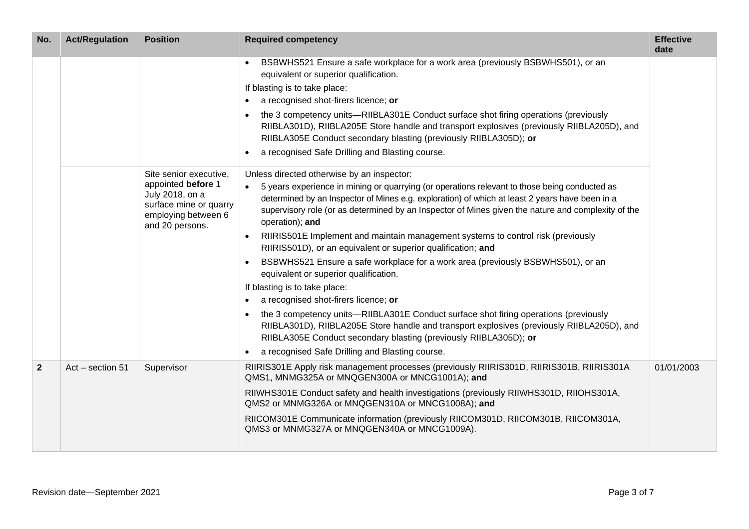| No.          | <b>Act/Regulation</b> | <b>Position</b>                                                                                                                     | <b>Required competency</b>                                                                                                                                                                                                                                                                                                                                                                                                                                                                                                                                                                                                                                                                                                                                                                                                                                                                                                                                                                                                                                                                                                                                                                                              | <b>Effective</b><br>date |
|--------------|-----------------------|-------------------------------------------------------------------------------------------------------------------------------------|-------------------------------------------------------------------------------------------------------------------------------------------------------------------------------------------------------------------------------------------------------------------------------------------------------------------------------------------------------------------------------------------------------------------------------------------------------------------------------------------------------------------------------------------------------------------------------------------------------------------------------------------------------------------------------------------------------------------------------------------------------------------------------------------------------------------------------------------------------------------------------------------------------------------------------------------------------------------------------------------------------------------------------------------------------------------------------------------------------------------------------------------------------------------------------------------------------------------------|--------------------------|
|              |                       | Site senior executive,<br>appointed before 1<br>July 2018, on a<br>surface mine or quarry<br>employing between 6<br>and 20 persons. | BSBWHS521 Ensure a safe workplace for a work area (previously BSBWHS501), or an<br>equivalent or superior qualification.<br>If blasting is to take place:<br>a recognised shot-firers licence; or<br>the 3 competency units—RIIBLA301E Conduct surface shot firing operations (previously<br>RIIBLA301D), RIIBLA205E Store handle and transport explosives (previously RIIBLA205D), and<br>RIIBLA305E Conduct secondary blasting (previously RIIBLA305D); or<br>a recognised Safe Drilling and Blasting course.<br>$\bullet$<br>Unless directed otherwise by an inspector:<br>5 years experience in mining or quarrying (or operations relevant to those being conducted as<br>determined by an Inspector of Mines e.g. exploration) of which at least 2 years have been in a<br>supervisory role (or as determined by an Inspector of Mines given the nature and complexity of the<br>operation); and<br>RIIRIS501E Implement and maintain management systems to control risk (previously<br>RIIRIS501D), or an equivalent or superior qualification; and<br>BSBWHS521 Ensure a safe workplace for a work area (previously BSBWHS501), or an<br>equivalent or superior qualification.<br>If blasting is to take place: |                          |
|              |                       |                                                                                                                                     | a recognised shot-firers licence; or<br>$\bullet$<br>the 3 competency units—RIIBLA301E Conduct surface shot firing operations (previously<br>RIIBLA301D), RIIBLA205E Store handle and transport explosives (previously RIIBLA205D), and<br>RIIBLA305E Conduct secondary blasting (previously RIIBLA305D); or<br>a recognised Safe Drilling and Blasting course.<br>$\bullet$                                                                                                                                                                                                                                                                                                                                                                                                                                                                                                                                                                                                                                                                                                                                                                                                                                            |                          |
| $\mathbf{2}$ | Act - section 51      | Supervisor                                                                                                                          | RIIRIS301E Apply risk management processes (previously RIIRIS301D, RIIRIS301B, RIIRIS301A<br>QMS1, MNMG325A or MNQGEN300A or MNCG1001A); and<br>RIIWHS301E Conduct safety and health investigations (previously RIIWHS301D, RIIOHS301A,<br>QMS2 or MNMG326A or MNQGEN310A or MNCG1008A); and<br>RIICOM301E Communicate information (previously RIICOM301D, RIICOM301B, RIICOM301A,<br>QMS3 or MNMG327A or MNQGEN340A or MNCG1009A).                                                                                                                                                                                                                                                                                                                                                                                                                                                                                                                                                                                                                                                                                                                                                                                     | 01/01/2003               |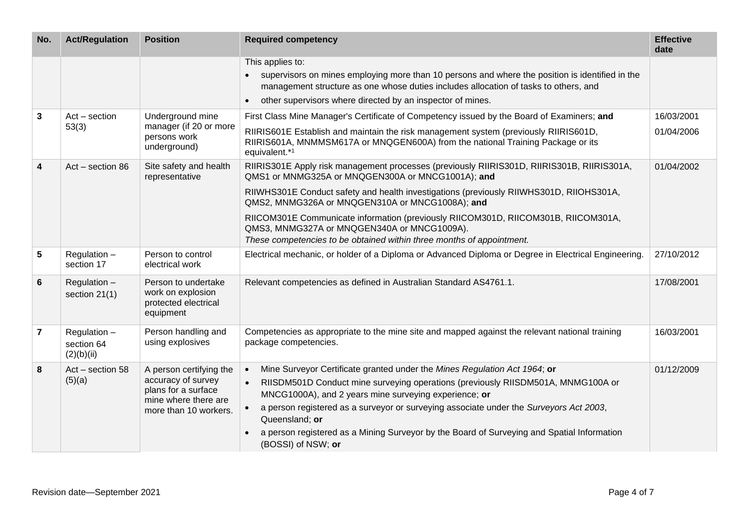| No.                     | <b>Act/Regulation</b>                    | <b>Position</b>                                                                                                       | <b>Required competency</b>                                                                                                                                                                                                                                                                                                                                                                                                                                                                                  | <b>Effective</b><br>date |
|-------------------------|------------------------------------------|-----------------------------------------------------------------------------------------------------------------------|-------------------------------------------------------------------------------------------------------------------------------------------------------------------------------------------------------------------------------------------------------------------------------------------------------------------------------------------------------------------------------------------------------------------------------------------------------------------------------------------------------------|--------------------------|
|                         |                                          |                                                                                                                       | This applies to:<br>supervisors on mines employing more than 10 persons and where the position is identified in the<br>management structure as one whose duties includes allocation of tasks to others, and<br>other supervisors where directed by an inspector of mines.                                                                                                                                                                                                                                   |                          |
| 3                       | $Act - section$<br>53(3)                 | Underground mine<br>manager (if 20 or more<br>persons work<br>underground)                                            | First Class Mine Manager's Certificate of Competency issued by the Board of Examiners; and<br>RIIRIS601E Establish and maintain the risk management system (previously RIIRIS601D,<br>RIIRIS601A, MNMMSM617A or MNQGEN600A) from the national Training Package or its<br>equivalent.*1                                                                                                                                                                                                                      | 16/03/2001<br>01/04/2006 |
| $\overline{\mathbf{4}}$ | Act - section 86                         | Site safety and health<br>representative                                                                              | RIIRIS301E Apply risk management processes (previously RIIRIS301D, RIIRIS301B, RIIRIS301A,<br>QMS1 or MNMG325A or MNQGEN300A or MNCG1001A); and<br>RIIWHS301E Conduct safety and health investigations (previously RIIWHS301D, RIIOHS301A,<br>QMS2, MNMG326A or MNQGEN310A or MNCG1008A); and<br>RIICOM301E Communicate information (previously RIICOM301D, RIICOM301B, RIICOM301A,<br>QMS3, MNMG327A or MNQGEN340A or MNCG1009A).<br>These competencies to be obtained within three months of appointment. | 01/04/2002               |
| 5                       | Regulation -<br>section 17               | Person to control<br>electrical work                                                                                  | Electrical mechanic, or holder of a Diploma or Advanced Diploma or Degree in Electrical Engineering.                                                                                                                                                                                                                                                                                                                                                                                                        | 27/10/2012               |
| 6                       | Regulation -<br>section 21(1)            | Person to undertake<br>work on explosion<br>protected electrical<br>equipment                                         | Relevant competencies as defined in Australian Standard AS4761.1.                                                                                                                                                                                                                                                                                                                                                                                                                                           | 17/08/2001               |
| 7                       | Regulation -<br>section 64<br>(2)(b)(ii) | Person handling and<br>using explosives                                                                               | Competencies as appropriate to the mine site and mapped against the relevant national training<br>package competencies.                                                                                                                                                                                                                                                                                                                                                                                     | 16/03/2001               |
| 8                       | Act - section 58<br>(5)(a)               | A person certifying the<br>accuracy of survey<br>plans for a surface<br>mine where there are<br>more than 10 workers. | Mine Surveyor Certificate granted under the Mines Regulation Act 1964; or<br>$\bullet$<br>RIISDM501D Conduct mine surveying operations (previously RIISDM501A, MNMG100A or<br>MNCG1000A), and 2 years mine surveying experience; or<br>a person registered as a surveyor or surveying associate under the Surveyors Act 2003,<br>Queensland; or<br>a person registered as a Mining Surveyor by the Board of Surveying and Spatial Information<br>(BOSSI) of NSW; or                                         | 01/12/2009               |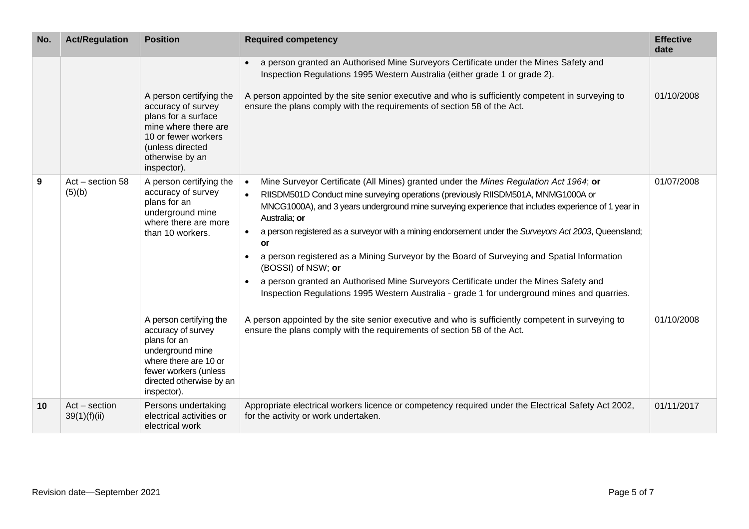| No. | <b>Act/Regulation</b>           | <b>Position</b>                                                                                                                                                                | <b>Required competency</b>                                                                                                                                                                                                                                                                                                                                                                                                                                                                                                                                                                                                                                                                                                                       | <b>Effective</b><br>date |
|-----|---------------------------------|--------------------------------------------------------------------------------------------------------------------------------------------------------------------------------|--------------------------------------------------------------------------------------------------------------------------------------------------------------------------------------------------------------------------------------------------------------------------------------------------------------------------------------------------------------------------------------------------------------------------------------------------------------------------------------------------------------------------------------------------------------------------------------------------------------------------------------------------------------------------------------------------------------------------------------------------|--------------------------|
|     |                                 |                                                                                                                                                                                | a person granted an Authorised Mine Surveyors Certificate under the Mines Safety and<br>$\bullet$<br>Inspection Regulations 1995 Western Australia (either grade 1 or grade 2).                                                                                                                                                                                                                                                                                                                                                                                                                                                                                                                                                                  |                          |
|     |                                 | A person certifying the<br>accuracy of survey<br>plans for a surface<br>mine where there are<br>10 or fewer workers<br>(unless directed<br>otherwise by an<br>inspector).      | A person appointed by the site senior executive and who is sufficiently competent in surveying to<br>ensure the plans comply with the requirements of section 58 of the Act.                                                                                                                                                                                                                                                                                                                                                                                                                                                                                                                                                                     | 01/10/2008               |
| 9   | Act - section 58<br>(5)(b)      | A person certifying the<br>accuracy of survey<br>plans for an<br>underground mine<br>where there are more<br>than 10 workers.                                                  | Mine Surveyor Certificate (All Mines) granted under the Mines Regulation Act 1964; or<br>$\bullet$<br>RIISDM501D Conduct mine surveying operations (previously RIISDM501A, MNMG1000A or<br>MNCG1000A), and 3 years underground mine surveying experience that includes experience of 1 year in<br>Australia; or<br>a person registered as a surveyor with a mining endorsement under the Surveyors Act 2003, Queensland;<br><b>or</b><br>a person registered as a Mining Surveyor by the Board of Surveying and Spatial Information<br>(BOSSI) of NSW; or<br>a person granted an Authorised Mine Surveyors Certificate under the Mines Safety and<br>Inspection Regulations 1995 Western Australia - grade 1 for underground mines and quarries. | 01/07/2008               |
|     |                                 | A person certifying the<br>accuracy of survey<br>plans for an<br>underground mine<br>where there are 10 or<br>fewer workers (unless<br>directed otherwise by an<br>inspector). | A person appointed by the site senior executive and who is sufficiently competent in surveying to<br>ensure the plans comply with the requirements of section 58 of the Act.                                                                                                                                                                                                                                                                                                                                                                                                                                                                                                                                                                     | 01/10/2008               |
| 10  | $Act - section$<br>39(1)(f)(ii) | Persons undertaking<br>electrical activities or<br>electrical work                                                                                                             | Appropriate electrical workers licence or competency required under the Electrical Safety Act 2002,<br>for the activity or work undertaken.                                                                                                                                                                                                                                                                                                                                                                                                                                                                                                                                                                                                      | 01/11/2017               |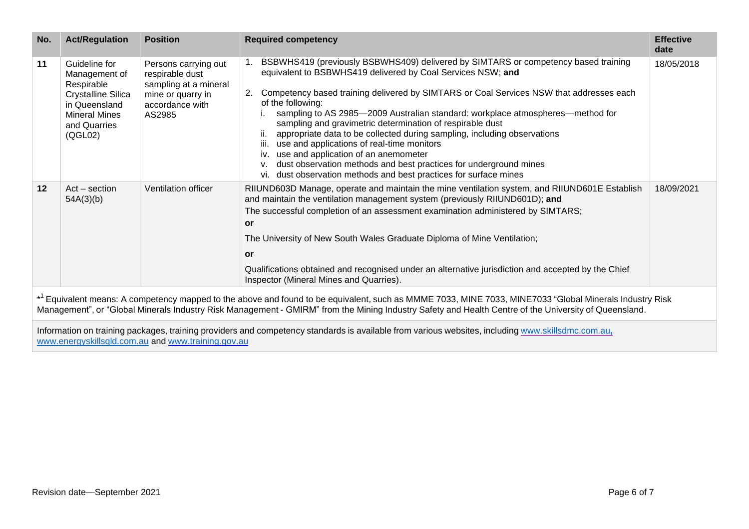| No.                                                                                                                                                                                                                                                                                                                          | <b>Act/Regulation</b>                                                                                                                         | <b>Position</b>                                                                                                    | <b>Required competency</b>                                                                                                                                                                                                                                                                                                                                                                                                                                                                                                                                                                                                                                                                                                                                 | <b>Effective</b><br>date |
|------------------------------------------------------------------------------------------------------------------------------------------------------------------------------------------------------------------------------------------------------------------------------------------------------------------------------|-----------------------------------------------------------------------------------------------------------------------------------------------|--------------------------------------------------------------------------------------------------------------------|------------------------------------------------------------------------------------------------------------------------------------------------------------------------------------------------------------------------------------------------------------------------------------------------------------------------------------------------------------------------------------------------------------------------------------------------------------------------------------------------------------------------------------------------------------------------------------------------------------------------------------------------------------------------------------------------------------------------------------------------------------|--------------------------|
| 11                                                                                                                                                                                                                                                                                                                           | Guideline for<br>Management of<br>Respirable<br><b>Crystalline Silica</b><br>in Queensland<br><b>Mineral Mines</b><br>and Quarries<br>(QGL02) | Persons carrying out<br>respirable dust<br>sampling at a mineral<br>mine or quarry in<br>accordance with<br>AS2985 | BSBWHS419 (previously BSBWHS409) delivered by SIMTARS or competency based training<br>equivalent to BSBWHS419 delivered by Coal Services NSW; and<br>Competency based training delivered by SIMTARS or Coal Services NSW that addresses each<br>2.<br>of the following:<br>sampling to AS 2985-2009 Australian standard: workplace atmospheres-method for<br>sampling and gravimetric determination of respirable dust<br>appropriate data to be collected during sampling, including observations<br>iii. use and applications of real-time monitors<br>iv. use and application of an anemometer<br>dust observation methods and best practices for underground mines<br>$V_{\cdot}$<br>vi. dust observation methods and best practices for surface mines | 18/05/2018               |
| 12                                                                                                                                                                                                                                                                                                                           | $Act - section$<br>54A(3)(b)                                                                                                                  | Ventilation officer                                                                                                | RIIUND603D Manage, operate and maintain the mine ventilation system, and RIIUND601E Establish<br>and maintain the ventilation management system (previously RIIUND601D); and<br>The successful completion of an assessment examination administered by SIMTARS;<br><b>or</b><br>The University of New South Wales Graduate Diploma of Mine Ventilation;<br><b>or</b><br>Qualifications obtained and recognised under an alternative jurisdiction and accepted by the Chief<br>Inspector (Mineral Mines and Quarries).                                                                                                                                                                                                                                      | 18/09/2021               |
| * <sup>1</sup> Equivalent means: A competency mapped to the above and found to be equivalent, such as MMME 7033, MINE 7033, MINE7033 "Global Minerals Industry Risk<br>Management", or "Global Minerals Industry Risk Management - GMIRM" from the Mining Industry Safety and Health Centre of the University of Queensland. |                                                                                                                                               |                                                                                                                    |                                                                                                                                                                                                                                                                                                                                                                                                                                                                                                                                                                                                                                                                                                                                                            |                          |
|                                                                                                                                                                                                                                                                                                                              |                                                                                                                                               |                                                                                                                    | Information on training packages, training providers and competency standards is available from various websites, including www.skillsdmc.com.au,                                                                                                                                                                                                                                                                                                                                                                                                                                                                                                                                                                                                          |                          |

[www.energyskillsqld.com.au](http://www.energyskillsqld.com.au/) and [www.training.gov.au](http://www.training.gov.au/)